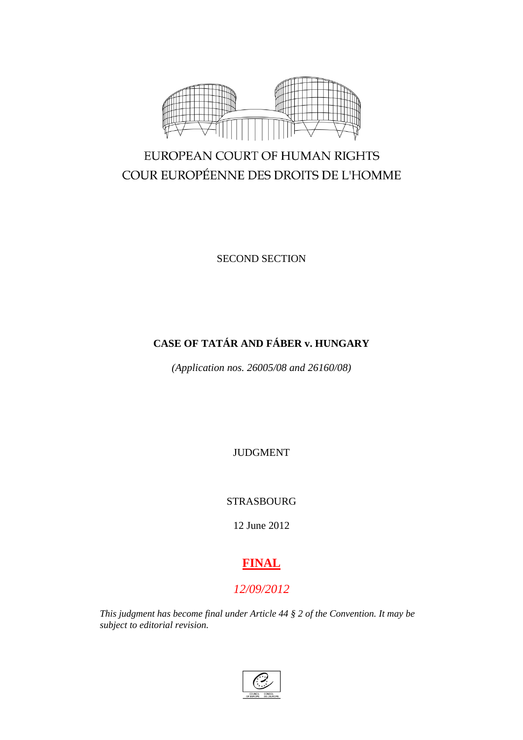

# EUROPEAN COURT OF HUMAN RIGHTS COUR EUROPÉENNE DES DROITS DE L'HOMME

SECOND SECTION

## **CASE OF TATÁR AND FÁBER v. HUNGARY**

*(Application nos. 26005/08 and 26160/08)*

JUDGMENT

STRASBOURG

12 June 2012

# **FINAL**

## *12/09/2012*

*This judgment has become final under Article 44 § 2 of the Convention. It may be subject to editorial revision.*

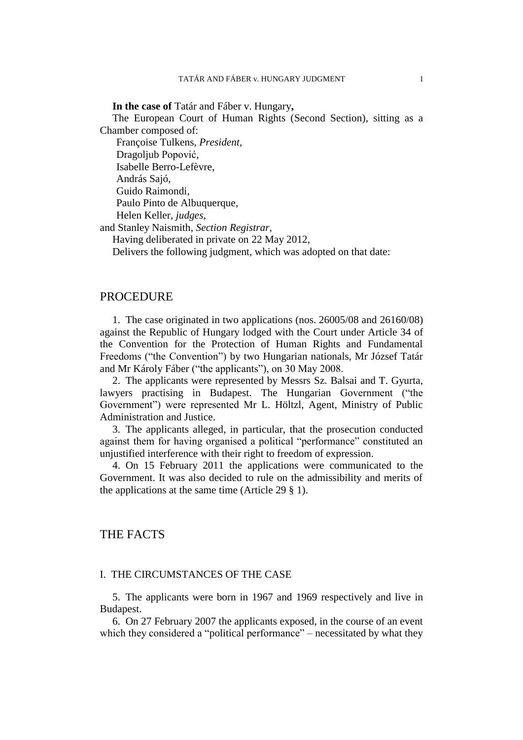**In the case of** Tatár and Fáber v. Hungary**,**

The European Court of Human Rights (Second Section), sitting as a Chamber composed of:

Françoise Tulkens, *President,*

Dragoljub Popović,

Isabelle Berro-Lefèvre,

András Sajó,

Guido Raimondi,

Paulo Pinto de Albuquerque,

Helen Keller, *judges,*

and Stanley Naismith, *Section Registrar,*

Having deliberated in private on 22 May 2012,

Delivers the following judgment, which was adopted on that date:

## PROCEDURE

1. The case originated in two applications (nos. 26005/08 and 26160/08) against the Republic of Hungary lodged with the Court under Article 34 of the Convention for the Protection of Human Rights and Fundamental Freedoms ("the Convention") by two Hungarian nationals, Mr József Tatár and Mr Károly Fáber ("the applicants"), on 30 May 2008.

2. The applicants were represented by Messrs Sz. Balsai and T. Gyurta, lawyers practising in Budapest. The Hungarian Government ("the Government") were represented Mr L. Höltzl, Agent, Ministry of Public Administration and Justice.

3. The applicants alleged, in particular, that the prosecution conducted against them for having organised a political "performance" constituted an unjustified interference with their right to freedom of expression.

4. On 15 February 2011 the applications were communicated to the Government. It was also decided to rule on the admissibility and merits of the applications at the same time (Article 29 § 1).

## THE FACTS

## I. THE CIRCUMSTANCES OF THE CASE

5. The applicants were born in 1967 and 1969 respectively and live in Budapest.

6. On 27 February 2007 the applicants exposed, in the course of an event which they considered a "political performance" – necessitated by what they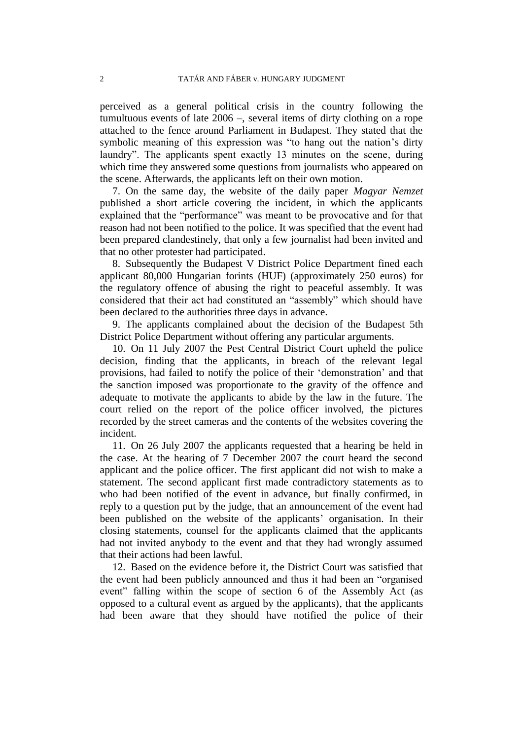perceived as a general political crisis in the country following the tumultuous events of late 2006 –, several items of dirty clothing on a rope attached to the fence around Parliament in Budapest. They stated that the symbolic meaning of this expression was "to hang out the nation's dirty laundry". The applicants spent exactly 13 minutes on the scene, during which time they answered some questions from journalists who appeared on the scene. Afterwards, the applicants left on their own motion.

7. On the same day, the website of the daily paper *Magyar Nemzet* published a short article covering the incident, in which the applicants explained that the "performance" was meant to be provocative and for that reason had not been notified to the police. It was specified that the event had been prepared clandestinely, that only a few journalist had been invited and that no other protester had participated.

8. Subsequently the Budapest V District Police Department fined each applicant 80,000 Hungarian forints (HUF) (approximately 250 euros) for the regulatory offence of abusing the right to peaceful assembly. It was considered that their act had constituted an "assembly" which should have been declared to the authorities three days in advance.

9. The applicants complained about the decision of the Budapest 5th District Police Department without offering any particular arguments.

10. On 11 July 2007 the Pest Central District Court upheld the police decision, finding that the applicants, in breach of the relevant legal provisions, had failed to notify the police of their 'demonstration' and that the sanction imposed was proportionate to the gravity of the offence and adequate to motivate the applicants to abide by the law in the future. The court relied on the report of the police officer involved, the pictures recorded by the street cameras and the contents of the websites covering the incident.

11. On 26 July 2007 the applicants requested that a hearing be held in the case. At the hearing of 7 December 2007 the court heard the second applicant and the police officer. The first applicant did not wish to make a statement. The second applicant first made contradictory statements as to who had been notified of the event in advance, but finally confirmed, in reply to a question put by the judge, that an announcement of the event had been published on the website of the applicants' organisation. In their closing statements, counsel for the applicants claimed that the applicants had not invited anybody to the event and that they had wrongly assumed that their actions had been lawful.

12. Based on the evidence before it, the District Court was satisfied that the event had been publicly announced and thus it had been an "organised event" falling within the scope of section 6 of the Assembly Act (as opposed to a cultural event as argued by the applicants), that the applicants had been aware that they should have notified the police of their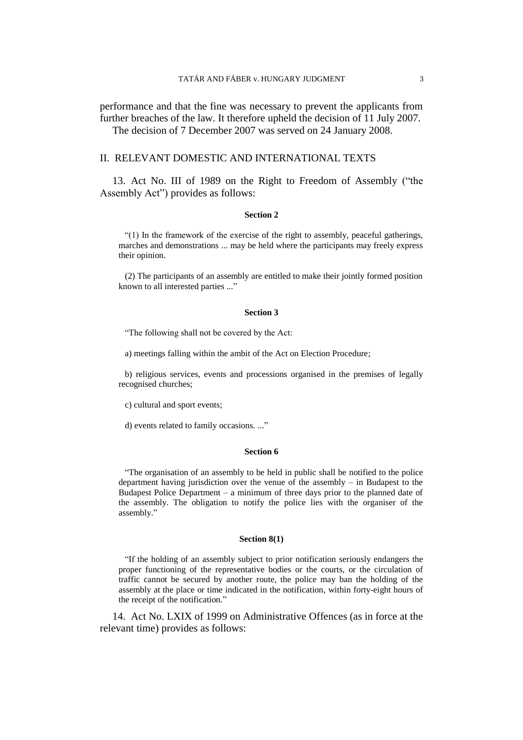performance and that the fine was necessary to prevent the applicants from further breaches of the law. It therefore upheld the decision of 11 July 2007. The decision of 7 December 2007 was served on 24 January 2008.

## II. RELEVANT DOMESTIC AND INTERNATIONAL TEXTS

13. Act No. III of 1989 on the Right to Freedom of Assembly ("the Assembly Act") provides as follows:

#### **Section 2**

"(1) In the framework of the exercise of the right to assembly, peaceful gatherings, marches and demonstrations ... may be held where the participants may freely express their opinion.

(2) The participants of an assembly are entitled to make their jointly formed position known to all interested parties ..."

#### **Section 3**

"The following shall not be covered by the Act:

a) meetings falling within the ambit of the Act on Election Procedure;

b) religious services, events and processions organised in the premises of legally recognised churches;

c) cultural and sport events;

d) events related to family occasions. ..."

#### **Section 6**

"The organisation of an assembly to be held in public shall be notified to the police department having jurisdiction over the venue of the assembly – in Budapest to the Budapest Police Department – a minimum of three days prior to the planned date of the assembly. The obligation to notify the police lies with the organiser of the assembly."

#### **Section 8(1)**

"If the holding of an assembly subject to prior notification seriously endangers the proper functioning of the representative bodies or the courts, or the circulation of traffic cannot be secured by another route, the police may ban the holding of the assembly at the place or time indicated in the notification, within forty-eight hours of the receipt of the notification."

14. Act No. LXIX of 1999 on Administrative Offences (as in force at the relevant time) provides as follows: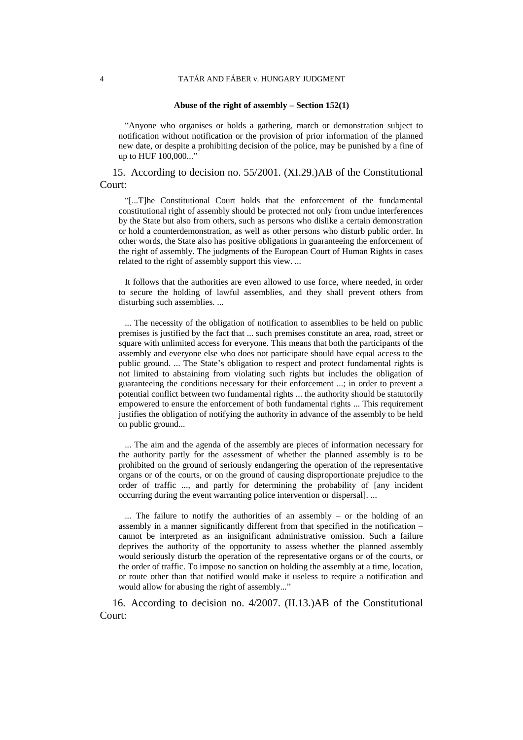#### 4 TATÁR AND FÁBER v. HUNGARY JUDGMENT

#### **Abuse of the right of assembly – Section 152(1)**

"Anyone who organises or holds a gathering, march or demonstration subject to notification without notification or the provision of prior information of the planned new date, or despite a prohibiting decision of the police, may be punished by a fine of up to HUF 100,000..."

15. According to decision no. 55/2001. (XI.29.)AB of the Constitutional Court:

"[...T]he Constitutional Court holds that the enforcement of the fundamental constitutional right of assembly should be protected not only from undue interferences by the State but also from others, such as persons who dislike a certain demonstration or hold a counterdemonstration, as well as other persons who disturb public order. In other words, the State also has positive obligations in guaranteeing the enforcement of the right of assembly. The judgments of the European Court of Human Rights in cases related to the right of assembly support this view. ...

It follows that the authorities are even allowed to use force, where needed, in order to secure the holding of lawful assemblies, and they shall prevent others from disturbing such assemblies. ...

... The necessity of the obligation of notification to assemblies to be held on public premises is justified by the fact that ... such premises constitute an area, road, street or square with unlimited access for everyone. This means that both the participants of the assembly and everyone else who does not participate should have equal access to the public ground. ... The State's obligation to respect and protect fundamental rights is not limited to abstaining from violating such rights but includes the obligation of guaranteeing the conditions necessary for their enforcement ...; in order to prevent a potential conflict between two fundamental rights ... the authority should be statutorily empowered to ensure the enforcement of both fundamental rights ... This requirement justifies the obligation of notifying the authority in advance of the assembly to be held on public ground...

... The aim and the agenda of the assembly are pieces of information necessary for the authority partly for the assessment of whether the planned assembly is to be prohibited on the ground of seriously endangering the operation of the representative organs or of the courts, or on the ground of causing disproportionate prejudice to the order of traffic ..., and partly for determining the probability of [any incident occurring during the event warranting police intervention or dispersal]. ...

... The failure to notify the authorities of an assembly – or the holding of an assembly in a manner significantly different from that specified in the notification – cannot be interpreted as an insignificant administrative omission. Such a failure deprives the authority of the opportunity to assess whether the planned assembly would seriously disturb the operation of the representative organs or of the courts, or the order of traffic. To impose no sanction on holding the assembly at a time, location, or route other than that notified would make it useless to require a notification and would allow for abusing the right of assembly..."

16. According to decision no. 4/2007. (II.13.)AB of the Constitutional Court: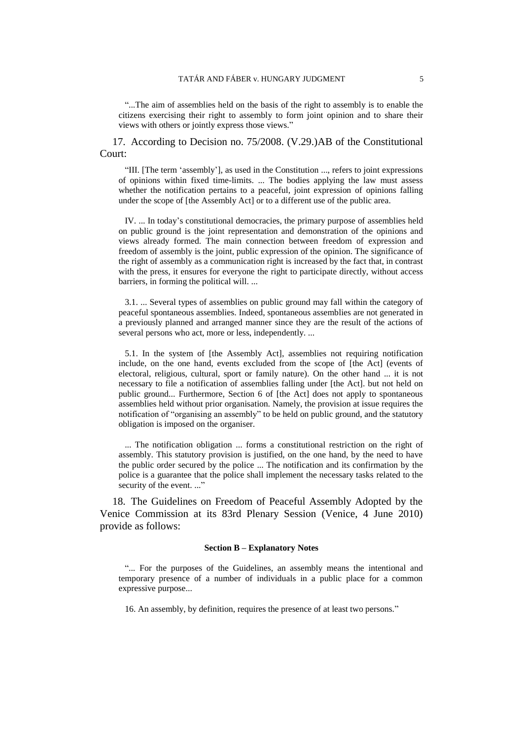"...The aim of assemblies held on the basis of the right to assembly is to enable the citizens exercising their right to assembly to form joint opinion and to share their views with others or jointly express those views."

17. According to Decision no. 75/2008. (V.29.)AB of the Constitutional Court:

"III. [The term 'assembly'], as used in the Constitution ..., refers to joint expressions of opinions within fixed time-limits. ... The bodies applying the law must assess whether the notification pertains to a peaceful, joint expression of opinions falling under the scope of [the Assembly Act] or to a different use of the public area.

IV. ... In today's constitutional democracies, the primary purpose of assemblies held on public ground is the joint representation and demonstration of the opinions and views already formed. The main connection between freedom of expression and freedom of assembly is the joint, public expression of the opinion. The significance of the right of assembly as a communication right is increased by the fact that, in contrast with the press, it ensures for everyone the right to participate directly, without access barriers, in forming the political will. ...

3.1. ... Several types of assemblies on public ground may fall within the category of peaceful spontaneous assemblies. Indeed, spontaneous assemblies are not generated in a previously planned and arranged manner since they are the result of the actions of several persons who act, more or less, independently. ...

5.1. In the system of [the Assembly Act], assemblies not requiring notification include, on the one hand, events excluded from the scope of [the Act] (events of electoral, religious, cultural, sport or family nature). On the other hand ... it is not necessary to file a notification of assemblies falling under [the Act]. but not held on public ground... Furthermore, Section 6 of [the Act] does not apply to spontaneous assemblies held without prior organisation. Namely, the provision at issue requires the notification of "organising an assembly" to be held on public ground, and the statutory obligation is imposed on the organiser.

... The notification obligation ... forms a constitutional restriction on the right of assembly. This statutory provision is justified, on the one hand, by the need to have the public order secured by the police ... The notification and its confirmation by the police is a guarantee that the police shall implement the necessary tasks related to the security of the event. ..."

18. The Guidelines on Freedom of Peaceful Assembly Adopted by the Venice Commission at its 83rd Plenary Session (Venice, 4 June 2010) provide as follows:

### **Section B – Explanatory Notes**

"... For the purposes of the Guidelines, an assembly means the intentional and temporary presence of a number of individuals in a public place for a common expressive purpose...

16. An assembly, by definition, requires the presence of at least two persons."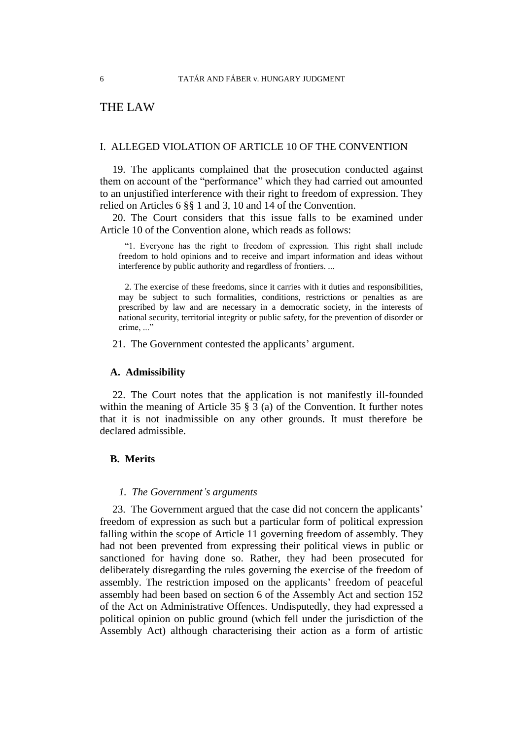## THE LAW

## I. ALLEGED VIOLATION OF ARTICLE 10 OF THE CONVENTION

19. The applicants complained that the prosecution conducted against them on account of the "performance" which they had carried out amounted to an unjustified interference with their right to freedom of expression. They relied on Articles 6 §§ 1 and 3, 10 and 14 of the Convention.

20. The Court considers that this issue falls to be examined under Article 10 of the Convention alone, which reads as follows:

"1. Everyone has the right to freedom of expression. This right shall include freedom to hold opinions and to receive and impart information and ideas without interference by public authority and regardless of frontiers. ...

2. The exercise of these freedoms, since it carries with it duties and responsibilities, may be subject to such formalities, conditions, restrictions or penalties as are prescribed by law and are necessary in a democratic society, in the interests of national security, territorial integrity or public safety, for the prevention of disorder or crime..."

21. The Government contested the applicants' argument.

## **A. Admissibility**

22. The Court notes that the application is not manifestly ill-founded within the meaning of Article 35 § 3 (a) of the Convention. It further notes that it is not inadmissible on any other grounds. It must therefore be declared admissible.

## **B. Merits**

#### *1. The Government's arguments*

23. The Government argued that the case did not concern the applicants' freedom of expression as such but a particular form of political expression falling within the scope of Article 11 governing freedom of assembly. They had not been prevented from expressing their political views in public or sanctioned for having done so. Rather, they had been prosecuted for deliberately disregarding the rules governing the exercise of the freedom of assembly. The restriction imposed on the applicants' freedom of peaceful assembly had been based on section 6 of the Assembly Act and section 152 of the Act on Administrative Offences. Undisputedly, they had expressed a political opinion on public ground (which fell under the jurisdiction of the Assembly Act) although characterising their action as a form of artistic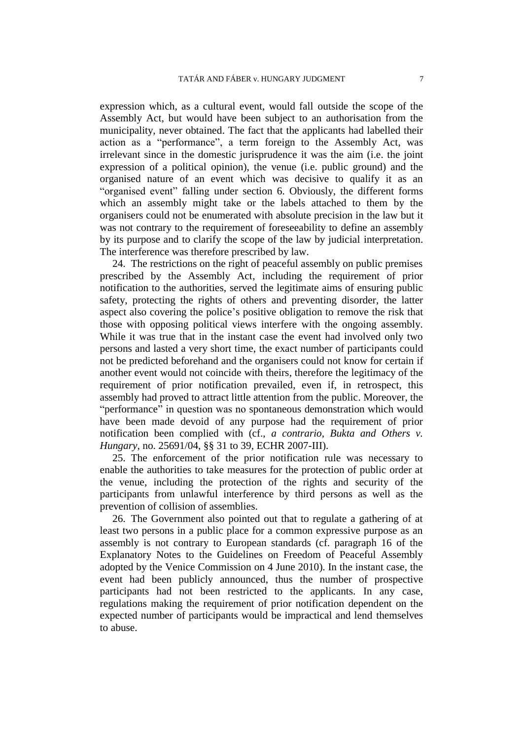expression which, as a cultural event, would fall outside the scope of the Assembly Act, but would have been subject to an authorisation from the municipality, never obtained. The fact that the applicants had labelled their action as a "performance", a term foreign to the Assembly Act, was irrelevant since in the domestic jurisprudence it was the aim (i.e. the joint expression of a political opinion), the venue (i.e. public ground) and the organised nature of an event which was decisive to qualify it as an "organised event" falling under section 6. Obviously, the different forms which an assembly might take or the labels attached to them by the organisers could not be enumerated with absolute precision in the law but it was not contrary to the requirement of foreseeability to define an assembly by its purpose and to clarify the scope of the law by judicial interpretation. The interference was therefore prescribed by law.

24. The restrictions on the right of peaceful assembly on public premises prescribed by the Assembly Act, including the requirement of prior notification to the authorities, served the legitimate aims of ensuring public safety, protecting the rights of others and preventing disorder, the latter aspect also covering the police's positive obligation to remove the risk that those with opposing political views interfere with the ongoing assembly. While it was true that in the instant case the event had involved only two persons and lasted a very short time, the exact number of participants could not be predicted beforehand and the organisers could not know for certain if another event would not coincide with theirs, therefore the legitimacy of the requirement of prior notification prevailed, even if, in retrospect, this assembly had proved to attract little attention from the public. Moreover, the "performance" in question was no spontaneous demonstration which would have been made devoid of any purpose had the requirement of prior notification been complied with (cf., *a contrario*, *Bukta and Others v. Hungary*, no. 25691/04, §§ 31 to 39, ECHR 2007-III).

25. The enforcement of the prior notification rule was necessary to enable the authorities to take measures for the protection of public order at the venue, including the protection of the rights and security of the participants from unlawful interference by third persons as well as the prevention of collision of assemblies.

26. The Government also pointed out that to regulate a gathering of at least two persons in a public place for a common expressive purpose as an assembly is not contrary to European standards (cf. paragraph 16 of the Explanatory Notes to the Guidelines on Freedom of Peaceful Assembly adopted by the Venice Commission on 4 June 2010). In the instant case, the event had been publicly announced, thus the number of prospective participants had not been restricted to the applicants. In any case, regulations making the requirement of prior notification dependent on the expected number of participants would be impractical and lend themselves to abuse.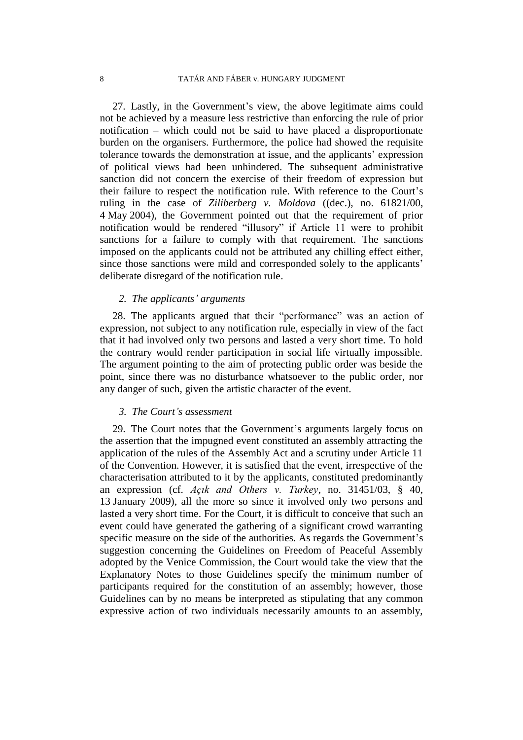27. Lastly, in the Government's view, the above legitimate aims could not be achieved by a measure less restrictive than enforcing the rule of prior notification – which could not be said to have placed a disproportionate burden on the organisers. Furthermore, the police had showed the requisite tolerance towards the demonstration at issue, and the applicants' expression of political views had been unhindered. The subsequent administrative sanction did not concern the exercise of their freedom of expression but their failure to respect the notification rule. With reference to the Court's ruling in the case of *Ziliberberg v. Moldova* ((dec.), no. 61821/00, 4 May 2004), the Government pointed out that the requirement of prior notification would be rendered "illusory" if Article 11 were to prohibit sanctions for a failure to comply with that requirement. The sanctions imposed on the applicants could not be attributed any chilling effect either, since those sanctions were mild and corresponded solely to the applicants' deliberate disregard of the notification rule.

## *2. The applicants' arguments*

28. The applicants argued that their "performance" was an action of expression, not subject to any notification rule, especially in view of the fact that it had involved only two persons and lasted a very short time. To hold the contrary would render participation in social life virtually impossible. The argument pointing to the aim of protecting public order was beside the point, since there was no disturbance whatsoever to the public order, nor any danger of such, given the artistic character of the event.

## *3. The Court's assessment*

29. The Court notes that the Government's arguments largely focus on the assertion that the impugned event constituted an assembly attracting the application of the rules of the Assembly Act and a scrutiny under Article 11 of the Convention. However, it is satisfied that the event, irrespective of the characterisation attributed to it by the applicants, constituted predominantly an expression (cf. *Açık and Others v. Turkey*, no. 31451/03, § 40, 13 January 2009), all the more so since it involved only two persons and lasted a very short time. For the Court, it is difficult to conceive that such an event could have generated the gathering of a significant crowd warranting specific measure on the side of the authorities. As regards the Government's suggestion concerning the Guidelines on Freedom of Peaceful Assembly adopted by the Venice Commission, the Court would take the view that the Explanatory Notes to those Guidelines specify the minimum number of participants required for the constitution of an assembly; however, those Guidelines can by no means be interpreted as stipulating that any common expressive action of two individuals necessarily amounts to an assembly,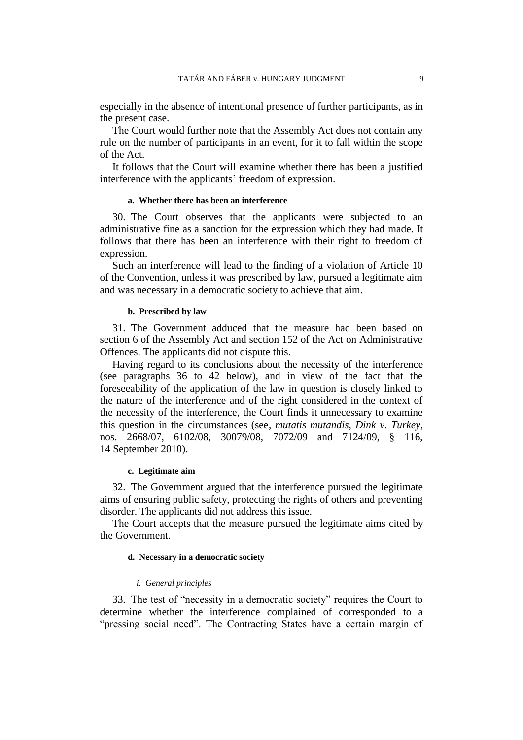especially in the absence of intentional presence of further participants, as in the present case.

The Court would further note that the Assembly Act does not contain any rule on the number of participants in an event, for it to fall within the scope of the Act.

It follows that the Court will examine whether there has been a justified interference with the applicants' freedom of expression.

#### **a. Whether there has been an interference**

30. The Court observes that the applicants were subjected to an administrative fine as a sanction for the expression which they had made. It follows that there has been an interference with their right to freedom of expression.

Such an interference will lead to the finding of a violation of Article 10 of the Convention, unless it was prescribed by law, pursued a legitimate aim and was necessary in a democratic society to achieve that aim.

### **b. Prescribed by law**

31. The Government adduced that the measure had been based on section 6 of the Assembly Act and section 152 of the Act on Administrative Offences. The applicants did not dispute this.

Having regard to its conclusions about the necessity of the interference (see paragraphs 36 to 42 below), and in view of the fact that the foreseeability of the application of the law in question is closely linked to the nature of the interference and of the right considered in the context of the necessity of the interference, the Court finds it unnecessary to examine this question in the circumstances (see, *mutatis mutandis*, *Dink v. Turkey*, nos. 2668/07, 6102/08, 30079/08, 7072/09 and 7124/09, § 116, 14 September 2010).

#### **c. Legitimate aim**

32. The Government argued that the interference pursued the legitimate aims of ensuring public safety, protecting the rights of others and preventing disorder. The applicants did not address this issue.

The Court accepts that the measure pursued the legitimate aims cited by the Government.

#### **d. Necessary in a democratic society**

#### *i. General principles*

33. The test of "necessity in a democratic society" requires the Court to determine whether the interference complained of corresponded to a "pressing social need". The Contracting States have a certain margin of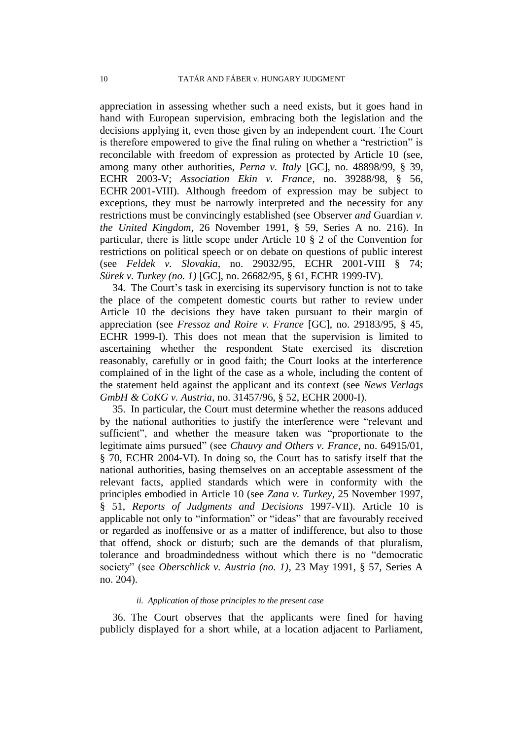appreciation in assessing whether such a need exists, but it goes hand in hand with European supervision, embracing both the legislation and the decisions applying it, even those given by an independent court. The Court is therefore empowered to give the final ruling on whether a "restriction" is reconcilable with freedom of expression as protected by Article 10 (see, among many other authorities, *Perna v. Italy* [GC], no. 48898/99, § 39, ECHR 2003-V; *Association Ekin v. France*, no. 39288/98, § 56, ECHR 2001-VIII). Although freedom of expression may be subject to exceptions, they must be narrowly interpreted and the necessity for any restrictions must be convincingly established (see Observer *and* Guardian *v. the United Kingdom*, 26 November 1991, § 59, Series A no. 216). In particular, there is little scope under Article 10 § 2 of the Convention for restrictions on political speech or on debate on questions of public interest (see *Feldek v. Slovakia*, no. 29032/95, ECHR 2001-VIII § *Sürek v. Turkey (no. 1)* [GC], no. 26682/95, § 61, ECHR 1999-IV).

34. The Court's task in exercising its supervisory function is not to take the place of the competent domestic courts but rather to review under Article 10 the decisions they have taken pursuant to their margin of appreciation (see *Fressoz and Roire v. France* [GC], no. 29183/95, § 45, ECHR 1999-I). This does not mean that the supervision is limited to ascertaining whether the respondent State exercised its discretion reasonably, carefully or in good faith; the Court looks at the interference complained of in the light of the case as a whole, including the content of the statement held against the applicant and its context (see *News Verlags GmbH & CoKG v. Austria*, no. 31457/96, § 52, ECHR 2000-I).

35. In particular, the Court must determine whether the reasons adduced by the national authorities to justify the interference were "relevant and sufficient", and whether the measure taken was "proportionate to the legitimate aims pursued" (see *Chauvy and Others v. France*, no. 64915/01, § 70, ECHR 2004-VI). In doing so, the Court has to satisfy itself that the national authorities, basing themselves on an acceptable assessment of the relevant facts, applied standards which were in conformity with the principles embodied in Article 10 (see *Zana v. Turkey*, 25 November 1997, § 51, *Reports of Judgments and Decisions* 1997-VII). Article 10 is applicable not only to "information" or "ideas" that are favourably received or regarded as inoffensive or as a matter of indifference, but also to those that offend, shock or disturb; such are the demands of that pluralism, tolerance and broadmindedness without which there is no "democratic society" (see *Oberschlick v. Austria (no. 1)*, 23 May 1991, § 57, Series A no. 204).

## *ii. Application of those principles to the present case*

36. The Court observes that the applicants were fined for having publicly displayed for a short while, at a location adjacent to Parliament,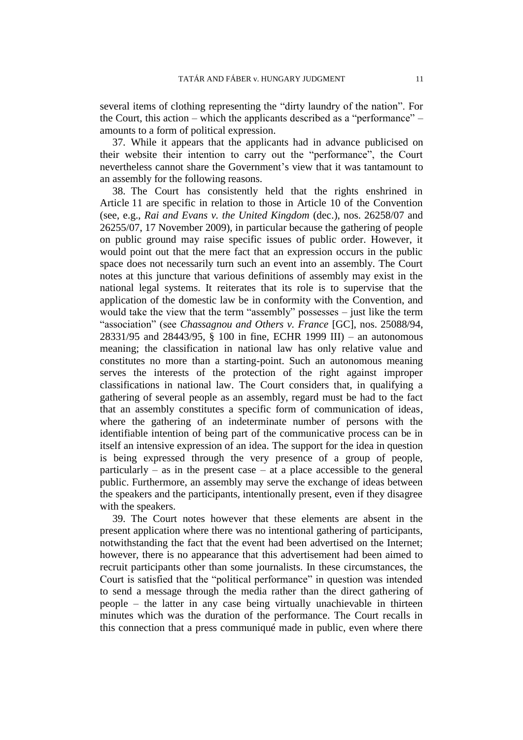several items of clothing representing the "dirty laundry of the nation". For the Court, this action – which the applicants described as a "performance" – amounts to a form of political expression.

37. While it appears that the applicants had in advance publicised on their website their intention to carry out the "performance", the Court nevertheless cannot share the Government's view that it was tantamount to an assembly for the following reasons.

38. The Court has consistently held that the rights enshrined in Article 11 are specific in relation to those in Article 10 of the Convention (see, e.g., *Rai and Evans v. the United Kingdom* (dec.), nos. 26258/07 and 26255/07, 17 November 2009), in particular because the gathering of people on public ground may raise specific issues of public order. However, it would point out that the mere fact that an expression occurs in the public space does not necessarily turn such an event into an assembly. The Court notes at this juncture that various definitions of assembly may exist in the national legal systems. It reiterates that its role is to supervise that the application of the domestic law be in conformity with the Convention, and would take the view that the term "assembly" possesses – just like the term "association" (see *Chassagnou and Others v. France* [GC], nos. 25088/94, 28331/95 and 28443/95, § 100 in fine, ECHR 1999 III) – an autonomous meaning; the classification in national law has only relative value and constitutes no more than a starting-point. Such an autonomous meaning serves the interests of the protection of the right against improper classifications in national law. The Court considers that, in qualifying a gathering of several people as an assembly, regard must be had to the fact that an assembly constitutes a specific form of communication of ideas, where the gathering of an indeterminate number of persons with the identifiable intention of being part of the communicative process can be in itself an intensive expression of an idea. The support for the idea in question is being expressed through the very presence of a group of people, particularly – as in the present case – at a place accessible to the general public. Furthermore, an assembly may serve the exchange of ideas between the speakers and the participants, intentionally present, even if they disagree with the speakers.

39. The Court notes however that these elements are absent in the present application where there was no intentional gathering of participants, notwithstanding the fact that the event had been advertised on the Internet; however, there is no appearance that this advertisement had been aimed to recruit participants other than some journalists. In these circumstances, the Court is satisfied that the "political performance" in question was intended to send a message through the media rather than the direct gathering of people – the latter in any case being virtually unachievable in thirteen minutes which was the duration of the performance. The Court recalls in this connection that a press communiqué made in public, even where there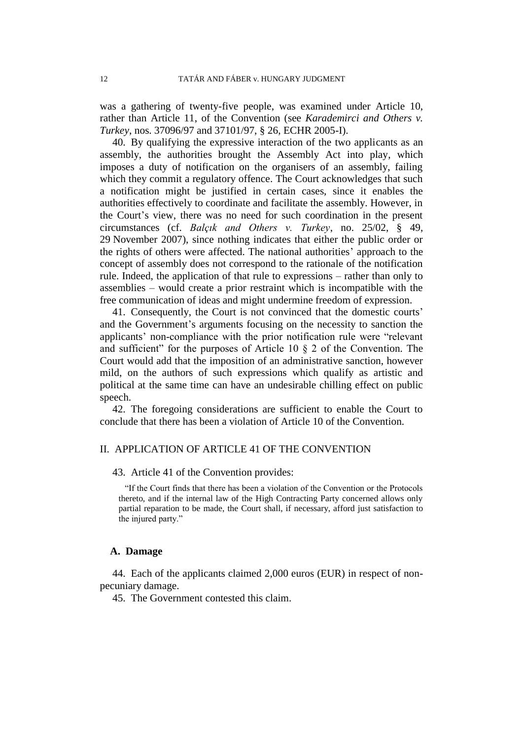was a gathering of twenty-five people, was examined under Article 10, rather than Article 11, of the Convention (see *Karademirci and Others v. Turkey*, nos. 37096/97 and 37101/97, § 26, ECHR 2005-I).

40. By qualifying the expressive interaction of the two applicants as an assembly, the authorities brought the Assembly Act into play, which imposes a duty of notification on the organisers of an assembly, failing which they commit a regulatory offence. The Court acknowledges that such a notification might be justified in certain cases, since it enables the authorities effectively to coordinate and facilitate the assembly. However, in the Court's view, there was no need for such coordination in the present circumstances (cf. *Balçık and Others v. Turkey*, no. 25/02, § 49, 29 November 2007), since nothing indicates that either the public order or the rights of others were affected. The national authorities' approach to the concept of assembly does not correspond to the rationale of the notification rule. Indeed, the application of that rule to expressions – rather than only to assemblies – would create a prior restraint which is incompatible with the free communication of ideas and might undermine freedom of expression.

41. Consequently, the Court is not convinced that the domestic courts' and the Government's arguments focusing on the necessity to sanction the applicants' non-compliance with the prior notification rule were "relevant and sufficient" for the purposes of Article 10  $\S$  2 of the Convention. The Court would add that the imposition of an administrative sanction, however mild, on the authors of such expressions which qualify as artistic and political at the same time can have an undesirable chilling effect on public speech.

42. The foregoing considerations are sufficient to enable the Court to conclude that there has been a violation of Article 10 of the Convention.

## II. APPLICATION OF ARTICLE 41 OF THE CONVENTION

43. Article 41 of the Convention provides:

"If the Court finds that there has been a violation of the Convention or the Protocols thereto, and if the internal law of the High Contracting Party concerned allows only partial reparation to be made, the Court shall, if necessary, afford just satisfaction to the injured party."

### **A. Damage**

44. Each of the applicants claimed 2,000 euros (EUR) in respect of nonpecuniary damage.

45. The Government contested this claim.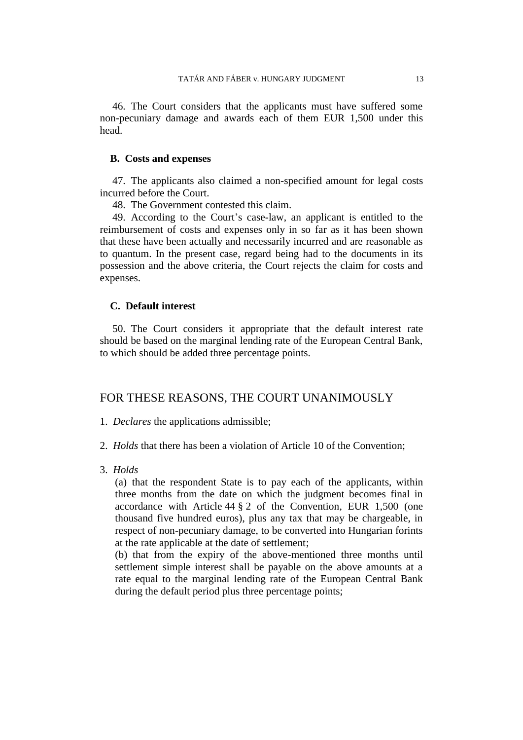46. The Court considers that the applicants must have suffered some non-pecuniary damage and awards each of them EUR 1,500 under this head.

## **B. Costs and expenses**

47. The applicants also claimed a non-specified amount for legal costs incurred before the Court.

48. The Government contested this claim.

49. According to the Court's case-law, an applicant is entitled to the reimbursement of costs and expenses only in so far as it has been shown that these have been actually and necessarily incurred and are reasonable as to quantum. In the present case, regard being had to the documents in its possession and the above criteria, the Court rejects the claim for costs and expenses.

## **C. Default interest**

50. The Court considers it appropriate that the default interest rate should be based on the marginal lending rate of the European Central Bank, to which should be added three percentage points.

## FOR THESE REASONS, THE COURT UNANIMOUSLY

1. *Declares* the applications admissible;

- 2. *Holds* that there has been a violation of Article 10 of the Convention;
- 3. *Holds*

(a) that the respondent State is to pay each of the applicants, within three months from the date on which the judgment becomes final in accordance with Article 44 § 2 of the Convention, EUR 1,500 (one thousand five hundred euros), plus any tax that may be chargeable, in respect of non-pecuniary damage, to be converted into Hungarian forints at the rate applicable at the date of settlement;

(b) that from the expiry of the above-mentioned three months until settlement simple interest shall be payable on the above amounts at a rate equal to the marginal lending rate of the European Central Bank during the default period plus three percentage points;